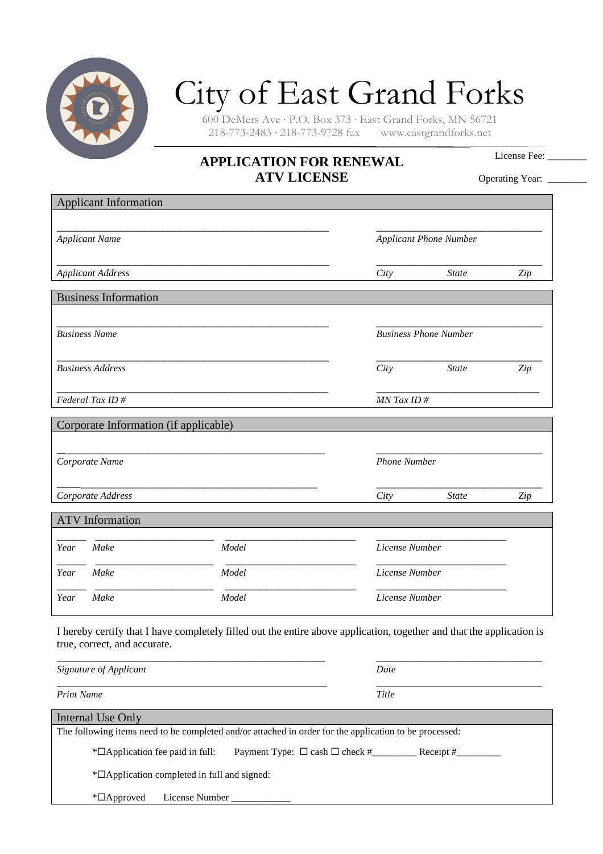

## City of East Grand Forks

600 DeMers Ave · P.O. Box 373 · East Grand Forks, MN 56721  $218-773-2483 \cdot 218-773-9728$  fax

## **APPLICATION FOR RENEWAL ATV LICENSE**

License Fee:

Operating Year: \_\_\_\_\_\_

| <b>Applicant Information</b>          |       |                     |                               |     |  |
|---------------------------------------|-------|---------------------|-------------------------------|-----|--|
| <b>Applicant Name</b>                 |       |                     | <b>Applicant Phone Number</b> |     |  |
| <b>Applicant Address</b>              |       | City                | <b>State</b>                  | Zip |  |
| <b>Business Information</b>           |       |                     |                               |     |  |
| <b>Business Name</b>                  |       |                     | <b>Business Phone Number</b>  |     |  |
| <b>Business Address</b>               |       | City                | <b>State</b>                  | Zip |  |
| Federal Tax ID#                       |       |                     | MN Tax ID#                    |     |  |
| Corporate Information (if applicable) |       |                     |                               |     |  |
| Corporate Name                        |       | <b>Phone Number</b> |                               |     |  |
| Corporate Address                     |       | City                | <b>State</b>                  | Zip |  |
| <b>ATV</b> Information                |       |                     |                               |     |  |
| Make<br>Year                          | Model | License Number      |                               |     |  |
|                                       | Model |                     | License Number                |     |  |
| Make<br>Year                          |       |                     | License Number                |     |  |

| Signature of Applicant                                                                                 | Date  |
|--------------------------------------------------------------------------------------------------------|-------|
| <b>Print Name</b>                                                                                      | Title |
| Internal Use Only                                                                                      |       |
| The following items need to be completed and/or attached in order for the application to be processed: |       |
| $*$ $\Box$ Application fee paid in full:                                                               |       |
| *¤Application completed in full and signed:                                                            |       |
| License Number<br>$\mathbb{Z}$ Approved                                                                |       |